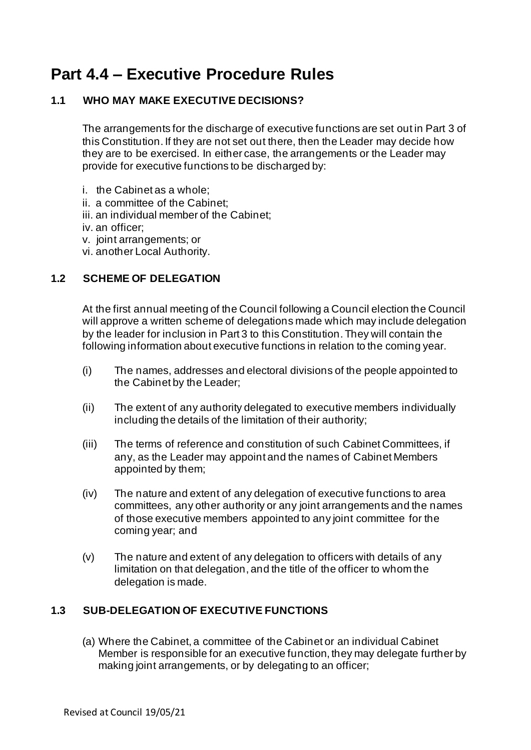# **Part 4.4 – Executive Procedure Rules**

# **1.1 WHO MAY MAKE EXECUTIVE DECISIONS?**

The arrangements for the discharge of executive functions are set out in Part 3 of this Constitution. If they are not set out there, then the Leader may decide how they are to be exercised. In either case, the arrangements or the Leader may provide for executive functions to be discharged by:

- i. the Cabinet as a whole;
- ii. a committee of the Cabinet;
- iii. an individual member of the Cabinet;
- iv. an officer;
- v. joint arrangements; or
- vi. another Local Authority.

## **1.2 SCHEME OF DELEGATION**

At the first annual meeting of the Council following a Council election the Council will approve a written scheme of delegations made which may include delegation by the leader for inclusion in Part 3 to this Constitution. They will contain the following information about executive functions in relation to the coming year.

- (i) The names, addresses and electoral divisions of the people appointed to the Cabinet by the Leader;
- (ii) The extent of any authority delegated to executive members individually including the details of the limitation of their authority;
- (iii) The terms of reference and constitution of such Cabinet Committees, if any, as the Leader may appoint and the names of Cabinet Members appointed by them;
- (iv) The nature and extent of any delegation of executive functions to area committees, any other authority or any joint arrangements and the names of those executive members appointed to any joint committee for the coming year; and
- (v) The nature and extent of any delegation to officers with details of any limitation on that delegation, and the title of the officer to whom the delegation is made.

# **1.3 SUB-DELEGATION OF EXECUTIVE FUNCTIONS**

(a) Where the Cabinet, a committee of the Cabinet or an individual Cabinet Member is responsible for an executive function, they may delegate further by making joint arrangements, or by delegating to an officer;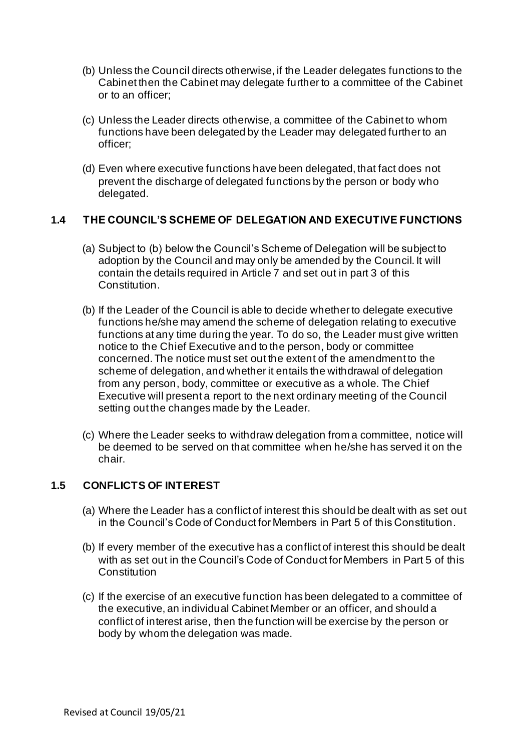- (b) Unless the Council directs otherwise, if the Leader delegates functions to the Cabinet then the Cabinet may delegate further to a committee of the Cabinet or to an officer;
- (c) Unless the Leader directs otherwise, a committee of the Cabinet to whom functions have been delegated by the Leader may delegated further to an officer;
- (d) Even where executive functions have been delegated, that fact does not prevent the discharge of delegated functions by the person or body who delegated.

## **1.4 THE COUNCIL'S SCHEME OF DELEGATION AND EXECUTIVE FUNCTIONS**

- (a) Subject to (b) below the Council's Scheme of Delegation will be subject to adoption by the Council and may only be amended by the Council. It will contain the details required in Article 7 and set out in part 3 of this Constitution.
- (b) If the Leader of the Council is able to decide whether to delegate executive functions he/she may amend the scheme of delegation relating to executive functions at any time during the year. To do so, the Leader must give written notice to the Chief Executive and to the person, body or committee concerned. The notice must set out the extent of the amendment to the scheme of delegation, and whether it entails the withdrawal of delegation from any person, body, committee or executive as a whole. The Chief Executive will present a report to the next ordinary meeting of the Council setting out the changes made by the Leader.
- (c) Where the Leader seeks to withdraw delegation from a committee, notice will be deemed to be served on that committee when he/she has served it on the chair.

# **1.5 CONFLICTS OF INTEREST**

- (a) Where the Leader has a conflict of interest this should be dealt with as set out in the Council's Code of Conduct for Members in Part 5 of this Constitution.
- (b) If every member of the executive has a conflict of interest this should be dealt with as set out in the Council's Code of Conduct for Members in Part 5 of this **Constitution**
- (c) If the exercise of an executive function has been delegated to a committee of the executive, an individual Cabinet Member or an officer, and should a conflict of interest arise, then the function will be exercise by the person or body by whom the delegation was made.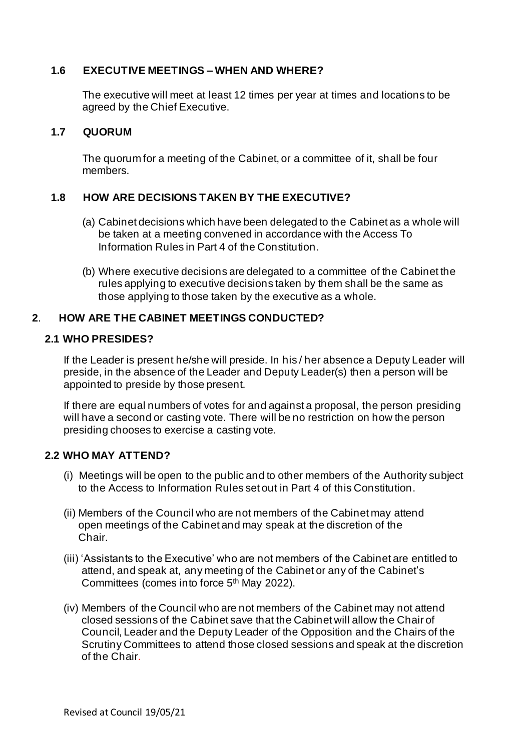# **1.6 EXECUTIVE MEETINGS – WHEN AND WHERE?**

The executive will meet at least 12 times per year at times and locations to be agreed by the Chief Executive.

#### **1.7 QUORUM**

The quorum for a meeting of the Cabinet, or a committee of it, shall be four members.

# **1.8 HOW ARE DECISIONS TAKEN BY THE EXECUTIVE?**

- (a) Cabinet decisions which have been delegated to the Cabinet as a whole will be taken at a meeting convened in accordance with the Access To Information Rules in Part 4 of the Constitution.
- (b) Where executive decisions are delegated to a committee of the Cabinet the rules applying to executive decisions taken by them shall be the same as those applying to those taken by the executive as a whole.

#### **2**. **HOW ARE THE CABINET MEETINGS CONDUCTED?**

#### **2.1 WHO PRESIDES?**

If the Leader is present he/she will preside. In his / her absence a Deputy Leader will preside, in the absence of the Leader and Deputy Leader(s) then a person will be appointed to preside by those present.

If there are equal numbers of votes for and against a proposal, the person presiding will have a second or casting vote. There will be no restriction on how the person presiding chooses to exercise a casting vote.

#### **2.2 WHO MAY ATTEND?**

- (i) Meetings will be open to the public and to other members of the Authority subject to the Access to Information Rules set out in Part 4 of this Constitution.
- (ii) Members of the Council who are not members of the Cabinet may attend open meetings of the Cabinet and may speak at the discretion of the Chair.
- (iii) 'Assistants to the Executive' who are not members of the Cabinet are entitled to attend, and speak at, any meeting of the Cabinet or any of the Cabinet's Committees (comes into force 5<sup>th</sup> May 2022).
- (iv) Members of the Council who are not members of the Cabinet may not attend closed sessions of the Cabinet save that the Cabinet will allow the Chair of Council, Leader and the Deputy Leader of the Opposition and the Chairs of the Scrutiny Committees to attend those closed sessions and speak at the discretion of the Chair.